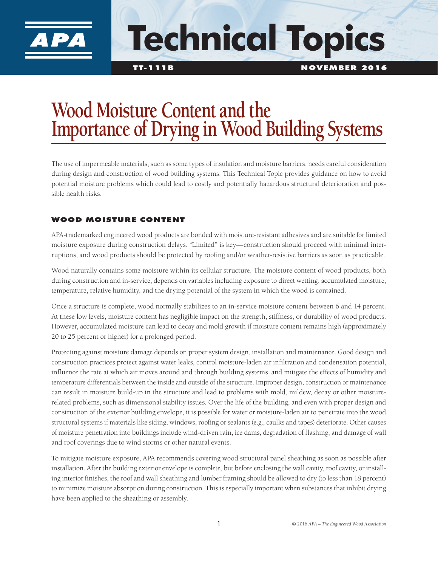

# **Technical Topics**

# **Wood Moisture Content and the Importance of Drying in Wood Building Systems**

The use of impermeable materials, such as some types of insulation and moisture barriers, needs careful consideration during design and construction of wood building systems. This Technical Topic provides guidance on how to avoid potential moisture problems which could lead to costly and potentially hazardous structural deterioration and possible health risks.

## WOOD MOISTURE CONTENT

APA-trademarked engineered wood products are bonded with moisture-resistant adhesives and are suitable for limited moisture exposure during construction delays. "Limited" is key—construction should proceed with minimal interruptions, and wood products should be protected by roofing and/or weather-resistive barriers as soon as practicable.

Wood naturally contains some moisture within its cellular structure. The moisture content of wood products, both during construction and in-service, depends on variables including exposure to direct wetting, accumulated moisture, temperature, relative humidity, and the drying potential of the system in which the wood is contained.

Once a structure is complete, wood normally stabilizes to an in-service moisture content between 6 and 14 percent. At these low levels, moisture content has negligible impact on the strength, stiffness, or durability of wood products. However, accumulated moisture can lead to decay and mold growth if moisture content remains high (approximately 20 to 25 percent or higher) for a prolonged period.

Protecting against moisture damage depends on proper system design, installation and maintenance. Good design and construction practices protect against water leaks, control moisture-laden air infiltration and condensation potential, influence the rate at which air moves around and through building systems, and mitigate the effects of humidity and temperature differentials between the inside and outside of the structure. Improper design, construction or maintenance can result in moisture build-up in the structure and lead to problems with mold, mildew, decay or other moisturerelated problems, such as dimensional stability issues. Over the life of the building, and even with proper design and construction of the exterior building envelope, it is possible for water or moisture-laden air to penetrate into the wood structural systems if materials like siding, windows, roofing or sealants (e.g., caulks and tapes) deteriorate. Other causes of moisture penetration into buildings include wind-driven rain, ice dams, degradation of flashing, and damage of wall and roof coverings due to wind storms or other natural events.

To mitigate moisture exposure, APA recommends covering wood structural panel sheathing as soon as possible after installation. After the building exterior envelope is complete, but before enclosing the wall cavity, roof cavity, or installing interior finishes, the roof and wall sheathing and lumber framing should be allowed to dry (to less than 18 percent) to minimize moisture absorption during construction. This is especially important when substances that inhibit drying have been applied to the sheathing or assembly.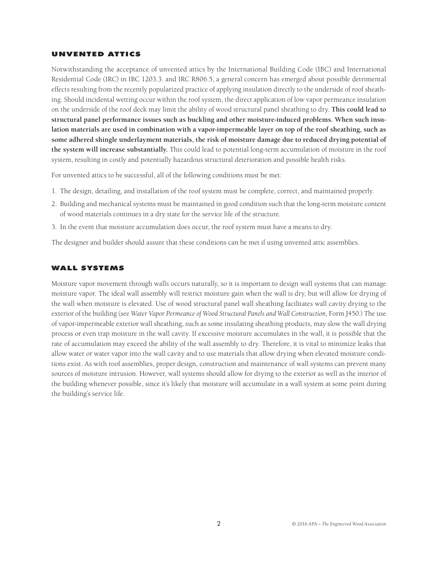#### UNVENTED ATTICS

Notwithstanding the acceptance of unvented attics by the International Building Code (IBC) and International Residential Code (IRC) in IBC 1203.3. and IRC R806.5, a general concern has emerged about possible detrimental effects resulting from the recently popularized practice of applying insulation directly to the underside of roof sheathing. Should incidental wetting occur within the roof system, the direct application of low vapor permeance insulation on the underside of the roof deck may limit the ability of wood structural panel sheathing to dry. **This could lead to structural panel performance issues such as buckling and other moisture-induced problems. When such insulation materials are used in combination with a vapor-impermeable layer on top of the roof sheathing, such as some adhered shingle underlayment materials, the risk of moisture damage due to reduced drying potential of the system will increase substantially.** This could lead to potential long-term accumulation of moisture in the roof system, resulting in costly and potentially hazardous structural deterioration and possible health risks.

For unvented attics to be successful, all of the following conditions must be met:

- 1. The design, detailing, and installation of the roof system must be complete, correct, and maintained properly.
- 2. Building and mechanical systems must be maintained in good condition such that the long-term moisture content of wood materials continues in a dry state for the service life of the structure.
- 3. In the event that moisture accumulation does occur, the roof system must have a means to dry.

The designer and builder should assure that these conditions can be met if using unvented attic assemblies.

#### WALL SYSTEMS

Moisture vapor movement through walls occurs naturally, so it is important to design wall systems that can manage moisture vapor. The ideal wall assembly will restrict moisture gain when the wall is dry, but will allow for drying of the wall when moisture is elevated. Use of wood structural panel wall sheathing facilitates wall cavity drying to the exterior of the building (see Water Vapor Permeance of Wood Structural Panels and Wall Construction, Form J450.) The use of vapor-impermeable exterior wall sheathing, such as some insulating sheathing products, may slow the wall drying process or even trap moisture in the wall cavity. If excessive moisture accumulates in the wall, it is possible that the rate of accumulation may exceed the ability of the wall assembly to dry. Therefore, it is vital to minimize leaks that allow water or water vapor into the wall cavity and to use materials that allow drying when elevated moisture conditions exist. As with roof assemblies, proper design, construction and maintenance of wall systems can prevent many sources of moisture intrusion. However, wall systems should allow for drying to the exterior as well as the interior of the building whenever possible, since it's likely that moisture will accumulate in a wall system at some point during the building's service life.